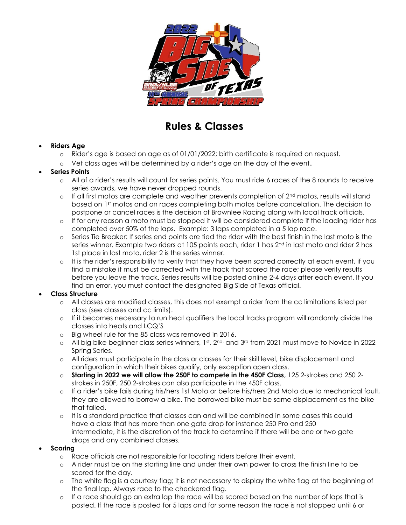

# **Rules & Classes**

### • **Riders Age**

- o Rider's age is based on age as of 01/01/2022; birth certificate is required on request.
- o Vet class ages will be determined by a rider's age on the day of the event.

#### • **Series Points**

- o All of a rider's results will count for series points. You must ride 6 races of the 8 rounds to receive series awards, we have never dropped rounds.
- $\circ$  If all first motos are complete and weather prevents completion of  $2^{nd}$  motos, results will stand based on 1st motos and on races completing both motos before cancelation. The decision to postpone or cancel races is the decision of Brownlee Racing along with local track officials.
- o If for any reason a moto must be stopped it will be considered complete if the leading rider has completed over 50% of the laps. Example: 3 laps completed in a 5 lap race.
- o Series Tie Breaker: If series end points are tied the rider with the best finish in the last moto is the series winner. Example two riders at 105 points each, rider 1 has 2<sup>nd</sup> in last moto and rider 2 has 1st place in last moto, rider 2 is the series winner.
- o It is the rider's responsibility to verify that they have been scored correctly at each event, if you find a mistake it must be corrected with the track that scored the race; please verify results before you leave the track. Series results will be posted online 2-4 days after each event. If you find an error, you must contact the designated Big Side of Texas official.

#### • **Class Structure**

- o All classes are modified classes, this does not exempt a rider from the cc limitations listed per class (see classes and cc limits).
- o If it becomes necessary to run heat qualifiers the local tracks program will randomly divide the classes into heats and LCQ'S
- o Big wheel rule for the 85 class was removed in 2016.
- $\circ$   $\;$  All big bike beginner class series winners, 1st, 2nd, and 3rd from 2021 must move to Novice in 2022 Spring Series.
- o All riders must participate in the class or classes for their skill level, bike displacement and configuration in which their bikes qualify, only exception open class.
- o **Starting in 2022 we will allow the 250F to compete in the 450F Class,** 125 2-strokes and 250 2 strokes in 250F, 250 2-strokes can also participate in the 450F class.
- o If a rider's bike fails during his/hers 1st Moto or before his/hers 2nd Moto due to mechanical fault, they are allowed to borrow a bike. The borrowed bike must be same displacement as the bike that failed.
- o It is a standard practice that classes can and will be combined in some cases this could have a class that has more than one gate drop for instance 250 Pro and 250 intermediate, it is the discretion of the track to determine if there will be one or two gate drops and any combined classes.

#### • **Scoring**

- o Race officials are not responsible for locating riders before their event.
- o A rider must be on the starting line and under their own power to cross the finish line to be scored for the day.
- o The white flag is a courtesy flag; it is not necessary to display the white flag at the beginning of the final lap. Always race to the checkered flag.
- o If a race should go an extra lap the race will be scored based on the number of laps that is posted. If the race is posted for 5 laps and for some reason the race is not stopped until 6 or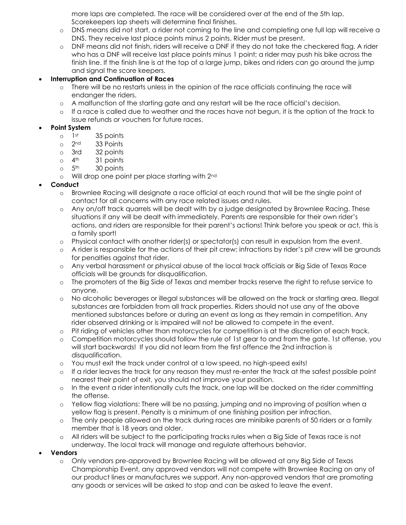more laps are completed. The race will be considered over at the end of the 5th lap. Scorekeepers lap sheets will determine final finishes.

- o DNS means did not start, a rider not coming to the line and completing one full lap will receive a DNS. They receive last place points minus 2 points. Rider must be present.
- o DNF means did not finish, riders will receive a DNF if they do not take the checkered flag. A rider who has a DNF will receive last place points minus 1 point; a rider may push his bike across the finish line. If the finish line is at the top of a large jump, bikes and riders can go around the jump and signal the score keepers.

#### • **Interruption and Continuation of Races**

- o There will be no restarts unless in the opinion of the race officials continuing the race will endanger the riders.
- o A malfunction of the starting gate and any restart will be the race official's decision.
- o If a race is called due to weather and the races have not begun, it is the option of the track to issue refunds or vouchers for future races.

#### • **Point System**

- $o$  1st 35 points
- o 2<sup>nd</sup> 33 Points
- $\circ$  3rd 32 points<br> $\circ$  4<sup>th</sup> 31 points
- $o$  4<sup>th</sup> 31 points
- $o$  5<sup>th</sup> 30 points
- o Will drop one point per place starting with 2<sup>nd</sup>

#### • **Conduct**

- o Brownlee Racing will designate a race official at each round that will be the single point of contact for all concerns with any race related issues and rules.
- o Any on/off track quarrels will be dealt with by a judge designated by Brownlee Racing. These situations if any will be dealt with immediately. Parents are responsible for their own rider's actions, and riders are responsible for their parent's actions! Think before you speak or act, this is a family sport!
- o Physical contact with another rider(s) or spectator(s) can result in expulsion from the event.
- o A rider is responsible for the actions of their pit crew; infractions by rider's pit crew will be grounds for penalties against that rider.
- o Any verbal harassment or physical abuse of the local track officials or Big Side of Texas Race officials will be grounds for disqualification.
- o The promoters of the Big Side of Texas and member tracks reserve the right to refuse service to anyone.
- o No alcoholic beverages or illegal substances will be allowed on the track or starting area. Illegal substances are forbidden from all track properties. Riders should not use any of the above mentioned substances before or during an event as long as they remain in competition. Any rider observed drinking or is impaired will not be allowed to compete in the event.
- o Pit riding of vehicles other than motorcycles for competition is at the discretion of each track.
- o Competition motorcycles should follow the rule of 1st gear to and from the gate. 1st offense, you will start backwards! If you did not learn from the first offence the 2nd infraction is disqualification.
- o You must exit the track under control at a low speed, no high-speed exits!
- o If a rider leaves the track for any reason they must re-enter the track at the safest possible point nearest their point of exit, you should not improve your position.
- o In the event a rider intentionally cuts the track, one lap will be docked on the rider committing the offense.
- o Yellow flag violations: There will be no passing, jumping and no improving of position when a yellow flag is present. Penalty is a minimum of one finishing position per infraction.
- o The only people allowed on the track during races are minibike parents of 50 riders or a family member that is 18 years and older.
- o All riders will be subject to the participating tracks rules when a Big Side of Texas race is not underway. The local track will manage and regulate afterhours behavior.

#### • **Vendors**

o Only vendors pre-approved by Brownlee Racing will be allowed at any Big Side of Texas Championship Event, any approved vendors will not compete with Brownlee Racing on any of our product lines or manufactures we support. Any non-approved vendors that are promoting any goods or services will be asked to stop and can be asked to leave the event.